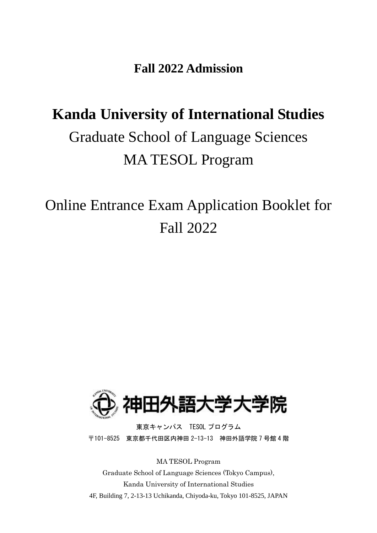**Fall 2022 Admission**

# **Kanda University of International Studies** Graduate School of Language Sciences MA TESOL Program

Online Entrance Exam Application Booklet for Fall 2022



東京キャンパス TESOL プログラム 〒101-8525 東京都千代田区内神田 2-13-13 神田外語学院 7 号館 4 階

MA TESOL Program

Graduate School of Language Sciences (Tokyo Campus), Kanda University of International Studies 4F, Building 7, 2-13-13 Uchikanda, Chiyoda-ku, Tokyo 101-8525, JAPAN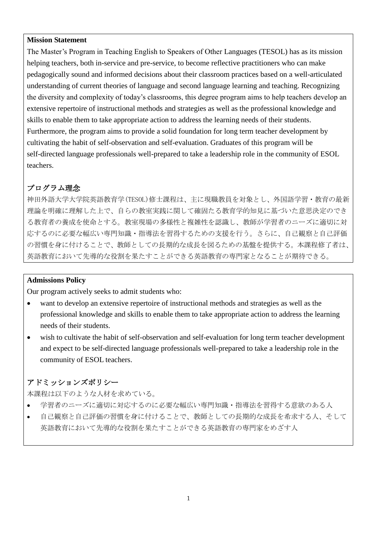#### **Mission Statement**

The Master's Program in Teaching English to Speakers of Other Languages (TESOL) has as its mission helping teachers, both in-service and pre-service, to become reflective practitioners who can make pedagogically sound and informed decisions about their classroom practices based on a well-articulated understanding of current theories of language and second language learning and teaching. Recognizing the diversity and complexity of today's classrooms, this degree program aims to help teachers develop an extensive repertoire of instructional methods and strategies as well as the professional knowledge and skills to enable them to take appropriate action to address the learning needs of their students. Furthermore, the program aims to provide a solid foundation for long term teacher development by cultivating the habit of self-observation and self-evaluation. Graduates of this program will be self-directed language professionals well-prepared to take a leadership role in the community of ESOL teachers.

# プログラム理念

神田外語大学大学院英語教育学(TESOL)修士課程は、主に現職教員を対象とし、外国語学習・教育の最新 理論を明確に理解した上で、自らの教室実践に関して確固たる教育学的知見に基づいた意思決定のでき る教育者の養成を使命とする。教室現場の多様性と複雑性を認識し、教師が学習者のニーズに適切に対 応するのに必要な幅広い専門知識・指導法を習得するための支援を行う。さらに、自己観察と自己評価 の習慣を身に付けることで、教師としての長期的な成長を図るための基盤を提供する。本課程修了者は、 英語教育において先導的な役割を果たすことができる英語教育の専門家となることが期待できる。

#### **Admissions Policy**

Our program actively seeks to admit students who:

- want to develop an extensive repertoire of instructional methods and strategies as well as the professional knowledge and skills to enable them to take appropriate action to address the learning needs of their students.
- wish to cultivate the habit of self-observation and self-evaluation for long term teacher development and expect to be self-directed language professionals well-prepared to take a leadership role in the community of ESOL teachers.

# アドミッションズポリシー

本課程は以下のような人材を求めている。

- 学習者のニーズに適切に対応するのに必要な幅広い専門知識・指導法を習得する意欲のある人
- 自己観察と自己評価の習慣を身に付けることで、教師としての長期的な成長を希求する人、そして 英語教育において先導的な役割を果たすことができる英語教育の専門家をめざす人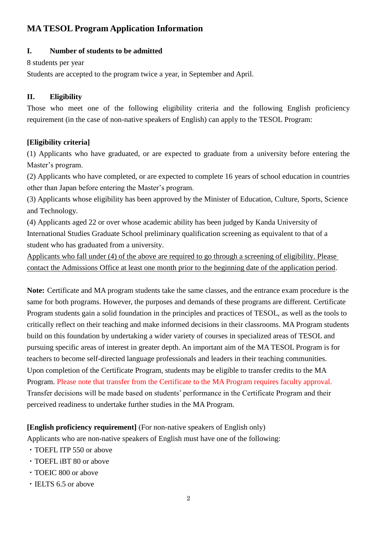# **MA TESOL Program Application Information**

#### **I. Number of students to be admitted**

8 students per year

Students are accepted to the program twice a year, in September and April.

## **II. Eligibility**

Those who meet one of the following eligibility criteria and the following English proficiency requirement (in the case of non-native speakers of English) can apply to the TESOL Program:

# **[Eligibility criteria]**

(1) Applicants who have graduated, or are expected to graduate from a university before entering the Master's program.

(2) Applicants who have completed, or are expected to complete 16 years of school education in countries other than Japan before entering the Master's program.

(3) Applicants whose eligibility has been approved by the Minister of Education, Culture, Sports, Science and Technology.

(4) Applicants aged 22 or over whose academic ability has been judged by Kanda University of International Studies Graduate School preliminary qualification screening as equivalent to that of a student who has graduated from a university.

Applicants who fall under (4) of the above are required to go through a screening of eligibility. Please contact the Admissions Office at least one month prior to the beginning date of the application period.

**Note:** Certificate and MA program students take the same classes, and the entrance exam procedure is the same for both programs. However, the purposes and demands of these programs are different. Certificate Program students gain a solid foundation in the principles and practices of TESOL, as well as the tools to critically reflect on their teaching and make informed decisions in their classrooms. MA Program students build on this foundation by undertaking a wider variety of courses in specialized areas of TESOL and pursuing specific areas of interest in greater depth. An important aim of the MA TESOL Program is for teachers to become self-directed language professionals and leaders in their teaching communities. Upon completion of the Certificate Program, students may be eligible to transfer credits to the MA Program. Please note that transfer from the Certificate to the MA Program requires faculty approval. Transfer decisions will be made based on students' performance in the Certificate Program and their perceived readiness to undertake further studies in the MA Program.

## **[English proficiency requirement]** (For non-native speakers of English only)

Applicants who are non-native speakers of English must have one of the following:

- ・TOEFL ITP 550 or above
- ・TOEFL iBT 80 or above
- ・TOEIC 800 or above
- ・IELTS 6.5 or above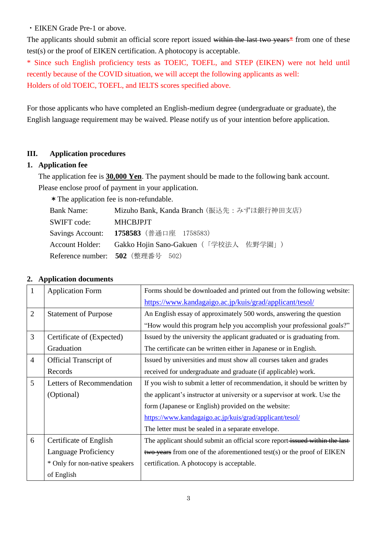・EIKEN Grade Pre-1 or above.

The applicants should submit an official score report issued within the last two years<sup>\*</sup> from one of these test(s) or the proof of EIKEN certification. A photocopy is acceptable.

\* Since such English proficiency tests as TOEIC, TOEFL, and STEP (EIKEN) were not held until recently because of the COVID situation, we will accept the following applicants as well: Holders of old TOEIC, TOEFL, and IELTS scores specified above.

For those applicants who have completed an English-medium degree (undergraduate or graduate), the English language requirement may be waived. Please notify us of your intention before application.

#### **III. Application procedures**

#### **1. Application fee**

The application fee is **30,000 Yen**. The payment should be made to the following bank account. Please enclose proof of payment in your application.

\*The application fee is non-refundable.

| <b>Bank Name:</b> | Mizuho Bank, Kanda Branch (振込先: みずほ銀行神田支店)            |
|-------------------|-------------------------------------------------------|
| SWIFT code:       | <b>MHCBJPJT</b>                                       |
|                   | Savings Account: 1758583 (普通口座 1758583)               |
|                   | Account Holder: Gakko Hojin Sano-Gakuen (「学校法人 佐野学園」) |
|                   | Reference number: 502 (整理番号 502)                      |

| 1              | . .<br><b>Application Form</b> | Forms should be downloaded and printed out from the following website:      |
|----------------|--------------------------------|-----------------------------------------------------------------------------|
|                |                                | https://www.kandagaigo.ac.jp/kuis/grad/applicant/tesol/                     |
| $\overline{2}$ | <b>Statement of Purpose</b>    | An English essay of approximately 500 words, answering the question         |
|                |                                | "How would this program help you accomplish your professional goals?"       |
| $\overline{3}$ | Certificate of (Expected)      | Issued by the university the applicant graduated or is graduating from.     |
|                | Graduation                     | The certificate can be written either in Japanese or in English.            |
| $\overline{4}$ | <b>Official Transcript of</b>  | Issued by universities and must show all courses taken and grades           |
|                | Records                        | received for undergraduate and graduate (if applicable) work.               |
| 5              | Letters of Recommendation      | If you wish to submit a letter of recommendation, it should be written by   |
|                | (Optional)                     | the applicant's instructor at university or a supervisor at work. Use the   |
|                |                                | form (Japanese or English) provided on the website:                         |
|                |                                | https://www.kandagaigo.ac.jp/kuis/grad/applicant/tesol/                     |
|                |                                | The letter must be sealed in a separate envelope.                           |
| 6              | Certificate of English         | The applicant should submit an official score report-issued within the last |
|                | Language Proficiency           | $t$ wo years from one of the aforementioned test(s) or the proof of EIKEN   |
|                | * Only for non-native speakers | certification. A photocopy is acceptable.                                   |
|                | of English                     |                                                                             |

## **2. Application documents**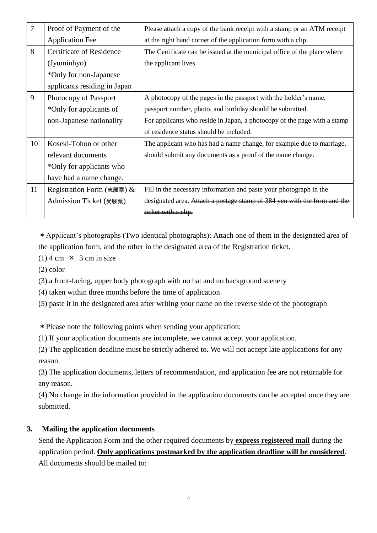| $\overline{7}$ | Proof of Payment of the         | Please attach a copy of the bank receipt with a stamp or an ATM receipt  |
|----------------|---------------------------------|--------------------------------------------------------------------------|
|                | <b>Application Fee</b>          | at the right hand corner of the application form with a clip.            |
| 8              | <b>Certificate of Residence</b> | The Certificate can be issued at the municipal office of the place where |
|                | (Jyuminhyo)                     | the applicant lives.                                                     |
|                | *Only for non-Japanese          |                                                                          |
|                | applicants residing in Japan    |                                                                          |
| 9              | Photocopy of Passport           | A photocopy of the pages in the passport with the holder's name,         |
|                | *Only for applicants of         | passport number, photo, and birthday should be submitted.                |
|                | non-Japanese nationality        | For applicants who reside in Japan, a photocopy of the page with a stamp |
|                |                                 | of residence status should be included.                                  |
| 10             | Koseki-Tohon or other           | The applicant who has had a name change, for example due to marriage,    |
|                | relevant documents              | should submit any documents as a proof of the name change.               |
|                | *Only for applicants who        |                                                                          |
|                | have had a name change.         |                                                                          |
| 11             | Registration Form (志願票) $\&$    | Fill in the necessary information and paste your photograph in the       |
|                | Admission Ticket (受験票)          | designated area. Attach a postage stamp of 384 yen with the form and the |
|                |                                 | <del>ticket with a clip.</del>                                           |

\*Applicant's photographs (Two identical photographs): Attach one of them in the designated area of the application form, and the other in the designated area of the Registration ticket.

- $(1)$  4 cm  $\times$  3 cm in size
- (2) color
- (3) a front-facing, upper body photograph with no hat and no background scenery
- (4) taken within three months before the time of application
- (5) paste it in the designated area after writing your name on the reverse side of the photograph

\*Please note the following points when sending your application:

- (1) If your application documents are incomplete, we cannot accept your application.
- (2) The application deadline must be strictly adhered to. We will not accept late applications for any reason.

(3) The application documents, letters of recommendation, and application fee are not returnable for any reason.

(4) No change in the information provided in the application documents can be accepted once they are submitted.

## **3. Mailing the application documents**

Send the Application Form and the other required documents by **express registered mail** during the application period. **Only applications postmarked by the application deadline will be considered**. All documents should be mailed to: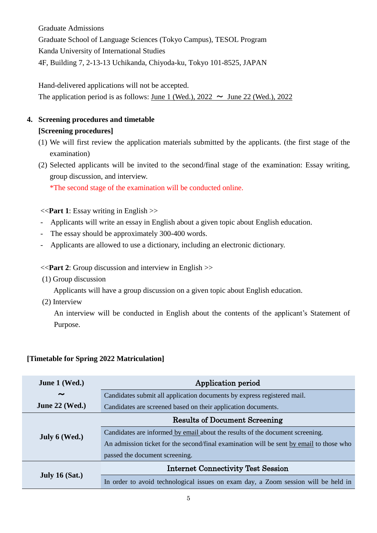Graduate Admissions Graduate School of Language Sciences (Tokyo Campus), TESOL Program Kanda University of International Studies 4F, Building 7, 2-13-13 Uchikanda, Chiyoda-ku, Tokyo 101-8525, JAPAN

Hand-delivered applications will not be accepted. The application period is as follows: June 1 (Wed.),  $2022 \sim$  June 22 (Wed.), 2022

# **4. Screening procedures and timetable**

#### **[Screening procedures]**

- (1) We will first review the application materials submitted by the applicants. (the first stage of the examination)
- (2) Selected applicants will be invited to the second/final stage of the examination: Essay writing, group discussion, and interview.

\*The second stage of the examination will be conducted online.

#### <<**Part 1**: Essay writing in English >>

- Applicants will write an essay in English about a given topic about English education.
- The essay should be approximately 300-400 words.
- Applicants are allowed to use a dictionary, including an electronic dictionary.

#### <<**Part 2**: Group discussion and interview in English >>

(1) Group discussion

Applicants will have a group discussion on a given topic about English education.

(2) Interview

An interview will be conducted in English about the contents of the applicant's Statement of Purpose.

| June 1 (Wed.)         | Application period                                                                      |  |
|-----------------------|-----------------------------------------------------------------------------------------|--|
| $\tilde{\phantom{a}}$ | Candidates submit all application documents by express registered mail.                 |  |
| June $22$ (Wed.)      | Candidates are screened based on their application documents.                           |  |
|                       | <b>Results of Document Screening</b>                                                    |  |
| July $6$ (Wed.)       | Candidates are informed by email about the results of the document screening.           |  |
|                       | An admission ticket for the second/final examination will be sent by email to those who |  |
|                       | passed the document screening.                                                          |  |
|                       | <b>Internet Connectivity Test Session</b>                                               |  |
| July 16 $(Sat.)$      | In order to avoid technological issues on exam day, a Zoom session will be held in      |  |

# **[Timetable for Spring 2022 Matriculation]**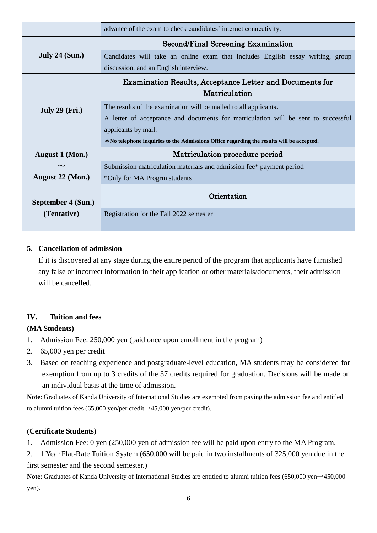|                                                                 | advance of the exam to check candidates' internet connectivity.                           |  |  |
|-----------------------------------------------------------------|-------------------------------------------------------------------------------------------|--|--|
|                                                                 | Second/Final Screening Examination                                                        |  |  |
| July 24 $(Sun.)$                                                | Candidates will take an online exam that includes English essay writing, group            |  |  |
|                                                                 | discussion, and an English interview.                                                     |  |  |
| <b>Examination Results, Acceptance Letter and Documents for</b> |                                                                                           |  |  |
|                                                                 | Matriculation                                                                             |  |  |
| <b>July 29 (Fri.)</b>                                           | The results of the examination will be mailed to all applicants.                          |  |  |
|                                                                 | A letter of acceptance and documents for matriculation will be sent to successful         |  |  |
|                                                                 | applicants by mail.                                                                       |  |  |
|                                                                 | * No telephone inquiries to the Admissions Office regarding the results will be accepted. |  |  |
| August 1 (Mon.)                                                 | Matriculation procedure period                                                            |  |  |
|                                                                 | Submission matriculation materials and admission fee* payment period                      |  |  |
| August 22 (Mon.)                                                | *Only for MA Progrm students                                                              |  |  |
|                                                                 | Orientation                                                                               |  |  |
| September 4 (Sun.)                                              |                                                                                           |  |  |
| (Tentative)                                                     | Registration for the Fall 2022 semester                                                   |  |  |
|                                                                 |                                                                                           |  |  |

#### **5. Cancellation of admission**

If it is discovered at any stage during the entire period of the program that applicants have furnished any false or incorrect information in their application or other materials/documents, their admission will be cancelled.

## **IV. Tuition and fees**

## **(MA Students)**

- 1. Admission Fee: 250,000 yen (paid once upon enrollment in the program)
- 2. 65,000 yen per credit
- 3. Based on teaching experience and postgraduate-level education, MA students may be considered for exemption from up to 3 credits of the 37 credits required for graduation. Decisions will be made on an individual basis at the time of admission.

**Note**: Graduates of Kanda University of International Studies are exempted from paying the admission fee and entitled to alumni tuition fees (65,000 yen/per credit→45,000 yen/per credit).

## **(Certificate Students)**

1. Admission Fee: 0 yen (250,000 yen of admission fee will be paid upon entry to the MA Program.

2. 1 Year Flat-Rate Tuition System (650,000 will be paid in two installments of 325,000 yen due in the first semester and the second semester.)

Note: Graduates of Kanda University of International Studies are entitled to alumni tuition fees (650,000 yen→450,000 yen).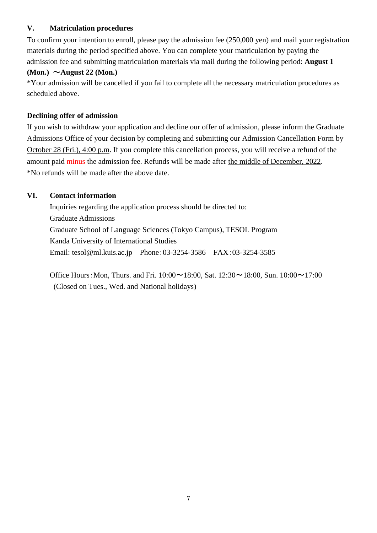#### **V. Matriculation procedures**

To confirm your intention to enroll, please pay the admission fee (250,000 yen) and mail your registration materials during the period specified above. You can complete your matriculation by paying the admission fee and submitting matriculation materials via mail during the following period: **August 1**

#### **(Mon.)** ~**August 22 (Mon.)**

\*Your admission will be cancelled if you fail to complete all the necessary matriculation procedures as scheduled above.

#### **Declining offer of admission**

If you wish to withdraw your application and decline our offer of admission, please inform the Graduate Admissions Office of your decision by completing and submitting our Admission Cancellation Form by October 28 (Fri.), 4:00 p.m. If you complete this cancellation process, you will receive a refund of the amount paid minus the admission fee. Refunds will be made after the middle of December, 2022. \*No refunds will be made after the above date.

#### **VI. Contact information**

Inquiries regarding the application process should be directed to: Graduate Admissions Graduate School of Language Sciences (Tokyo Campus), TESOL Program Kanda University of International Studies Email: tesol@ml.kuis.ac.jp Phone:03-3254-3586 FAX:03-3254-3585

Office Hours: Mon, Thurs. and Fri.  $10:00 \sim 18:00$ , Sat.  $12:30 \sim 18:00$ , Sun.  $10:00 \sim 17:00$ (Closed on Tues., Wed. and National holidays)